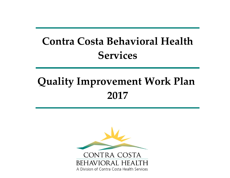## **Contra Costa Behavioral Health Services**

# **Quality Improvement Work Plan 2017**

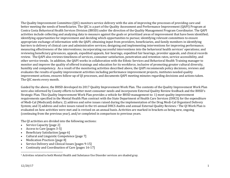The Quality Improvement Committee (QIC) monitors service delivery with the aim of improving the processes of providing care and better meeting the needs of beneficiaries. The OIC is a part of the Quality Assessment and Performance Improvement (OAPI) Program at Contra Costa Behavioral Health Services Division (BHSD) under the direction of the Quality Management Program Coordinator. The QAPI activities include collecting and analyzing data to measure against the goals or prioritized areas of improvement that have been identified; identifying opportunities for improvement and deciding which opportunities to pursue; identifying relevant committees to ensure appropriate exchange of information with the OAPI; obtaining input from providers, beneficiaries, and family members in identifying barriers to delivery of clinical care and administrative services; designing and implementing interventions for improving performance; measuring effectiveness of the interventions; incorporating successful interventions into the behavioral health services' operations; and reviewing beneficiary grievances, appeals, expedited appeals, fair hearings, expedited fair hearings, provider appeals, and clinical records review. The QAPI also reviews timeliness of services, consumer satisfaction, penetration and retention rates, service accessibility, and other service trends. In addition, the OAPI works in collaboration with the Ethnic Services and Behavioral Health Training manager to monitor and improve the quality of offered trainings and education for its workforce, inclusive of promoting greater cultural diversity, humility and competency. As a result of the monitoring activities described above, the QAPI recommends policy decisions, reviews and evaluates the results of quality improvement activities including performance improvement projects, institutes needed quality improvement actions, ensures follow-up of QI processes, and documents QAPI meeting minutes regarding decisions and actions taken. The QIC meets every month.

Guided by the above, the BHSD developed its 2017 Quality Improvement Work Plan. The contents of the Quality Improvement Work Plan were also informed by County efforts to better meet consumer needs and incorporate External Quality Review feedback and the BHSD's Strategic Plan. This Quality Improvement Work Plan provides a vehicle for BHSD management to: 1) meet quality improvement requirements specified in the Mental Health Plan contract with the State Department of Health Care Services (DHCS) for the expenditure of Medi-Cal (Medicaid) dollars; 2) address and solve issues raised during the implementation of the Drug Medi-Cal Organized Delivery System; and 3) address and solve issues raised in the tri-annual DHCS Audits and annual External Quality Reviews.<sup>1</sup> The QI Work Plan is evaluated on how activities were met and is revised on an annual basis. Activities are marked in brackets as being new, ongoing (continuing from the previous year), and/or completed in comparison to previous years.

The QI activities are divided into the following sections:

- c Service Capacity [page 2]
- c Access to Care [pages 3-5]
- c Beneficiary Satisfaction [page 6]
- c Cultural and Linguistic Competence [page 7]
- c Medication Practices [page 8]
- c Service Delivery and Clinical Issues [pages 9-15]
- c Continuity and Coordination of Care [pages 16-17]

<sup>&</sup>lt;sup>1</sup> Activities related to both Mental Health and Substance Use Disorder services are shaded gray.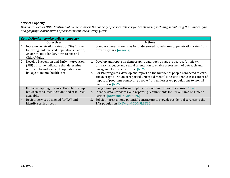#### **Service Capacity**

Behavioral Health DHCS Contractual Element: Assess the capacity of service delivery for beneficiaries, including monitoring the number, type, *and geographic distribution of services within the delivery system.*

|    | <b>Goal 1: Monitor service delivery capacity</b>                                                                                                       |    |                                                                                                                                                                                                                                                                           |  |
|----|--------------------------------------------------------------------------------------------------------------------------------------------------------|----|---------------------------------------------------------------------------------------------------------------------------------------------------------------------------------------------------------------------------------------------------------------------------|--|
|    | <b>Objectives</b>                                                                                                                                      |    | <b>Actions</b>                                                                                                                                                                                                                                                            |  |
| 1. | Increase penetration rates by .05% for the<br>following underserved populations: Latino,<br>Asian/Pacific Islander, Birth to Six, and<br>Older Adults. | 1. | Compare penetration rates for underserved populations to penetration rates from<br>previous years. [ongoing]                                                                                                                                                              |  |
| 2. | Develop Prevention and Early Intervention<br>(PEI) outcome indicators that determine<br>outreach to underserved populations and                        | 1. | Develop and report on demographic data, such as age group, race/ethnicity,<br>primary language and sexual orientation to enable assessment of outreach and<br>engagement efforts over time. [NEW]                                                                         |  |
|    | linkage to mental health care.                                                                                                                         | 2. | For PEI programs, develop and report on the number of people connected to care,<br>and average duration of reported untreated mental illness to enable assessment of<br>impact of programs connecting people from underserved populations to mental<br>health care. [NEW] |  |
| 3. | Use geo-mapping to assess the relationship                                                                                                             | 1. | Use geo-mapping software to plot consumer and service locations. [NEW]                                                                                                                                                                                                    |  |
|    | between consumer locations and resources                                                                                                               | 2. | Identify data, standards, and reporting requirements for Travel Time or Time to                                                                                                                                                                                           |  |
|    | available.                                                                                                                                             |    | Service. [NEW and COMPLETED]                                                                                                                                                                                                                                              |  |
| 4. | Review services designed for TAY and                                                                                                                   | 3. | Solicit interest among potential contractors to provide residential services to the                                                                                                                                                                                       |  |
|    | identify service needs.                                                                                                                                |    | TAY population. [NEW and COMPLETED]                                                                                                                                                                                                                                       |  |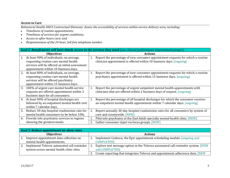#### **Access to Care**

Behavioral Health DHCS Contractual Elements: Assess the accessibility of services within service delivery area, including:

- $\bullet$ *Timeliness of routine appointments;*
- $\bullet$ *Timeliness of services for urgen<sup>t</sup> conditions;*
- $\bullet$ *Access to after‐hours care; and*
- $\bullet$ *Responsiveness of the 24 hour, toll free telephone number.*

|    | Goal 2: Beneficiaries will have timely access to the services they need (non-clinical performance improvement project) |                |                                                                                  |  |
|----|------------------------------------------------------------------------------------------------------------------------|----------------|----------------------------------------------------------------------------------|--|
|    | <b>Objectives</b>                                                                                                      | <b>Actions</b> |                                                                                  |  |
| 1. | At least 90% of individuals, on average,                                                                               | 1.             | Report the percentage of new consumer appointment requests for which a routine   |  |
|    | requesting routine care mental health                                                                                  |                | clinician appointment is offered within 10 business days. [ongoing]              |  |
|    | services will be offered an initial assessment                                                                         |                |                                                                                  |  |
|    | appointment within 10 business days.                                                                                   |                |                                                                                  |  |
| 2. | At least 80% of individuals, on average,                                                                               | 1.             | Report the percentage of new consumer appointment requests for which a routine   |  |
|    | requesting routine care mental health                                                                                  |                | psychiatry appointment is offered within 15 business days. [ongoing]             |  |
|    | services will be offered psychiatry                                                                                    |                |                                                                                  |  |
|    | appointment within 15 business days.                                                                                   |                |                                                                                  |  |
| 3. | 100% of urgent care mental health service                                                                              | 1.             | Report the percentage of urgent outpatient mental health appointments with       |  |
|    | requests are offered appointment within 2                                                                              |                | clinicians that are offered within 2 business days of request. [ongoing]         |  |
|    | business days for all consumers.                                                                                       |                |                                                                                  |  |
| 4. | At least 90% of hospital discharges are                                                                                | 1.             | Report the percentage of all hospital discharges for which the consumer receives |  |
|    | followed by an outpatient mental health visit                                                                          |                | an outpatient mental health appointment within 7 calendar days. [ongoing]        |  |
|    | within 7 calendar days.                                                                                                |                |                                                                                  |  |
| 5. | Reduce 30-day hospital readmission rate for                                                                            | 1.             | Report annually 30-day hospital readmission rates for all consumers by system of |  |
|    | mental health consumers to be below 10%.                                                                               |                | care and countywide. [NEW]                                                       |  |
| 6. | Provide tele-psychiatry services in regions                                                                            |                | Pilot tele-psychiatry at the East Adult specialty mental health clinic. [NEW]    |  |
|    | showing the greatest needs.                                                                                            | 2.             | Gather consumer input via focus groups. [NEW]                                    |  |

|    | <b>Goal 3: Reduce appointment no-show rates</b>                                        |  |                                                                                                   |  |
|----|----------------------------------------------------------------------------------------|--|---------------------------------------------------------------------------------------------------|--|
|    | <b>Objectives</b>                                                                      |  | <b>Actions</b>                                                                                    |  |
|    | Improve appointment data collection on<br>mental health appointments.                  |  | Implement Cadence, the Epic appointment scheduling module. [ongoing and<br><b>COMPLETED1</b>      |  |
| 2. | Implement Televox automated call reminder<br>system across mental health clinic sites. |  | Explore text message option in the Televox automated call reminder system. [NEW<br>and COMPLETED] |  |
|    |                                                                                        |  | Create reporting that integrates Televox and appointment adherence data. [NEW]                    |  |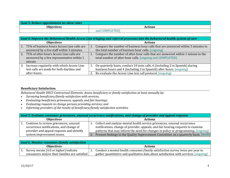| <b>Goal 3: Reduce appointment no-show rates</b> |                   |  |  |  |
|-------------------------------------------------|-------------------|--|--|--|
| <b>Obiectives</b>                               | Actions           |  |  |  |
|                                                 | COMPLETEDI<br>and |  |  |  |

|                  | Goal 4: Improve the Behavioral Health Access Line triaging and referral processes into the behavioral health system of care |    |                                                                                                                                                                                                                    |  |
|------------------|-----------------------------------------------------------------------------------------------------------------------------|----|--------------------------------------------------------------------------------------------------------------------------------------------------------------------------------------------------------------------|--|
|                  | <b>Objectives</b>                                                                                                           |    | <b>Actions</b>                                                                                                                                                                                                     |  |
| $\vert 1. \vert$ | 75% of business hours Access Line calls are<br>answered by a live staff within 3 minutes.                                   |    | Compare the number of business hour calls that are answered within 3 minutes to<br>the total number of business hour calls. [ongoing]                                                                              |  |
|                  | 2. 75% of after-hours Access Line calls are<br>answered by a live representative within 1<br>minute.                        | 1. | Compare the number of after-hour calls that are answered within 1 minute to the<br>total number of after-hour calls. [ongoing and COMPLETED]                                                                       |  |
| 3.               | Increase regularity with which Access Line<br>test calls are made for both daytime and<br>after-hours.                      |    | On quarterly basis, conduct 10 tests calls, 6 (including 2 in Spanish) during<br>business hours and 4 (including 2 in Spanish) after hours. [ongoing]<br>Re-evaluate the Access Line test call protocol. [ongoing] |  |

#### **Beneficiary Satisfaction**

*Behavioral Health DHCS Contractual Elements: Assess beneficiary or family satisfaction at least annually by:*

- $\bullet$ *Surveying beneficiary/family satisfaction with services;*
- $\bullet$ *Evaluating beneficiary grievances, appeals, and fair hearings;*
- $\bullet$ *Evaluating requests to change persons providing services; and*
- $\bullet$ *Informing providers of the results of beneficiary/family satisfaction activities.*

| Goal 5: Evaluate consumer grievances, unusual occurrence notifications, and change of provider and appeal requests             |  |                                                                                                                                                                                                                                                   |  |  |
|--------------------------------------------------------------------------------------------------------------------------------|--|---------------------------------------------------------------------------------------------------------------------------------------------------------------------------------------------------------------------------------------------------|--|--|
| <b>Objectives</b>                                                                                                              |  | <b>Actions</b>                                                                                                                                                                                                                                    |  |  |
| Continue to review grievances, unusual<br>occurrence notifications, and change of<br>provider and appeal requests and identify |  | Collect and analyze mental health service grievances, unusual occurrence<br>notifications, change of provider, appeals, and fair hearing requests to examine<br>patterns that may inform the need for changes in policy or programming. [ongoing] |  |  |
| system improvement issues.                                                                                                     |  | Present findings to the Quality Improvement Committee on a quarterly basis. [NEW]                                                                                                                                                                 |  |  |

|                   | Goal 6: Monitor consumer/family satisfaction  |  |                                                                                      |  |
|-------------------|-----------------------------------------------|--|--------------------------------------------------------------------------------------|--|
| <b>Objectives</b> |                                               |  | <b>Actions</b>                                                                       |  |
|                   | Survey means (4.0 or higher) indicate         |  | Conduct a mental health consumer/family satisfaction survey twice per year to        |  |
|                   | consumers and/or their families are satisfied |  | gather quantitative and qualitative data about satisfaction with services. [ongoing] |  |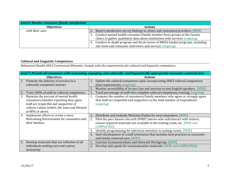| <b>Goal 6: Monitor consumer/family satisfaction</b> |                                                                                     |
|-----------------------------------------------------|-------------------------------------------------------------------------------------|
| <b>Objectives</b>                                   | <b>Actions</b>                                                                      |
| with their care.                                    | Report satisfaction survey findings to clinics and contracted providers. [NEW]      |
|                                                     | Conduct mental health consumer/family member focus groups at the County<br>3.       |
|                                                     | clinics to gather qualitative data about satisfaction with services. [ongoing]      |
|                                                     | Conduct in-depth program and fiscal review of MHSA funded programs, including<br>4. |
|                                                     | site visits and consumer interviews and surveys. [ongoing]                          |

#### **Cultural and Linguistic Competence**

*Behavioral Health DHCS Contractual Elements: Comply with the requirements for cultural and linguistic competence.*

|    | Goal 7: Provide all consumers with welcoming, engaging, and culturally- and linguistically-appropriate consumer-centered care |    |                                                                                            |  |  |
|----|-------------------------------------------------------------------------------------------------------------------------------|----|--------------------------------------------------------------------------------------------|--|--|
|    | <b>Objectives</b>                                                                                                             |    | <b>Actions</b>                                                                             |  |  |
| 1. | Promote the delivery of services in a                                                                                         |    | Update the cultural competence plan, incorporating DHCS cultural competency                |  |  |
|    | culturally competent manner.                                                                                                  |    | plan requirements. [ongoing]                                                               |  |  |
|    |                                                                                                                               | 2. | Monitor accessibility of Access Line and services to non-English speakers.<br><b>INEWI</b> |  |  |
| 2. | Train 100% of staff on cultural competence.                                                                                   |    | Track percentage of staff who complete cultural competency training. [ongoing]             |  |  |
| 3. | Maintain the percent of mental health                                                                                         | 1. | Compare the number of consumers/family members who agree or strongly agree                 |  |  |
|    | consumers/families reporting they agree                                                                                       |    | that staff are respectful and supportive to the total number of respondents.               |  |  |
|    | staff are respectful and supportive of                                                                                        |    | [ongoing]                                                                                  |  |  |
|    | culture, values, beliefs, life ways and lifestyle                                                                             |    |                                                                                            |  |  |
|    | at 80% or above.                                                                                                              |    |                                                                                            |  |  |
| 4. | Implement efforts to create a more                                                                                            |    | Distribute and evaluate Welcome Packet for new consumers. [NEW]                            |  |  |
|    | Welcoming Environment for consumers and                                                                                       | 2. | Pilot the peer liaison role with SPIRIT interns who will interact with visitors,           |  |  |
|    | their families.                                                                                                               |    | ensure required materials are available in the waiting room, etc. [NEW and                 |  |  |
|    |                                                                                                                               |    | <b>COMPLETED]</b>                                                                          |  |  |
|    |                                                                                                                               | 3. | Identify programming for television monitors in waiting rooms. [NEW]                       |  |  |
|    |                                                                                                                               | 4. | Start development of a staff orientation that includes best practices in consumer-         |  |  |
|    |                                                                                                                               |    | and family-centered care. [NEW]                                                            |  |  |
| 5. | Develop materials that are reflective of all                                                                                  |    | Convene Communications and Outreach Workgroup. [NEW]                                       |  |  |
|    | individuals seeking care and convey                                                                                           | 2. | Develop style guide for communication materials. [NEW and COMPLETED]                       |  |  |
|    | inclusivity.                                                                                                                  |    |                                                                                            |  |  |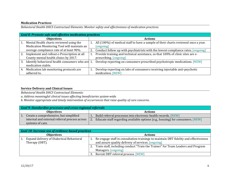#### **Medication Practices**

*Behavioral Health DHCS Contractual Elements: Monitor safety and effectiveness of medication practices.*

|    | <b>Goal 8: Promote safe and effective medication practices</b> |                |                                                                                     |  |
|----|----------------------------------------------------------------|----------------|-------------------------------------------------------------------------------------|--|
|    | <b>Objectives</b>                                              | <b>Actions</b> |                                                                                     |  |
| 1. | Mental Health charts reviewed using the                        | 1.             | All (100%) of medical staff to have a sample of their charts reviewed once a year.  |  |
|    | Medication Monitoring Tool will maintain an                    |                | [ongoing]                                                                           |  |
|    | average compliance rate of at least 90%.                       |                | 2. Conduct follow up with psychiatrists with the lowest compliance rates. [ongoing] |  |
| 2. | Implement and rollout e-Prescription at all                    |                | Provide training and technical assistance, so that 100% of clinic sites are e-      |  |
|    | County mental health clinics by 2017.                          |                | prescribing. [ongoing]                                                              |  |
| 3. | Identify behavioral health consumers who are 1.                |                | Develop reporting on consumers prescribed psychotropic medications. [NEW]           |  |
|    | medication stable.                                             |                |                                                                                     |  |
| 4. | Medication lab monitoring protocols are                        |                | Develop reporting on labs of consumers receiving injectable anti-psychotic          |  |
|    | adhered to.                                                    |                | medication. [NEW]                                                                   |  |

#### **Service Delivery and Clinical Issues**

*Behavioral Health DHCS Contractual Elements:*

*a. Address meaningful clinical issues affecting beneficiaries system‐wide.*

*b. Monitor appropriate and timely intervention of occurrences that raise quality of care concerns.*

|                   | <b>Goal 9: Standardize processes and cross-regional referrals</b> |    |                                                                                |  |
|-------------------|-------------------------------------------------------------------|----|--------------------------------------------------------------------------------|--|
| <b>Objectives</b> |                                                                   |    | <b>Actions</b>                                                                 |  |
|                   | Create a comprehensive, but simplified                            |    | Build referral processes into electronic health records. [NEW]                 |  |
|                   | internal and external referral process across                     | 2. | Educate staff regarding available options (e.g., housing) for consumers. [NEW] |  |
|                   | systems of care.                                                  |    |                                                                                |  |

| <b>Goal 10: Increase use of evidence-based practices</b>    |                                                                                                                                            |  |  |  |
|-------------------------------------------------------------|--------------------------------------------------------------------------------------------------------------------------------------------|--|--|--|
| <b>Objectives</b>                                           | <b>Actions</b>                                                                                                                             |  |  |  |
| Expand delivery of Dialectical Behavioral<br>Therapy (DBT). | Re-engage staff in consultation trainings to maintain DBT fidelity and effectiveness<br>and assure quality delivery of services. [ongoing] |  |  |  |
|                                                             | Train staff, including conduct "Train the Trainer" for Team Leaders and Program<br>Managers. [ongoing]                                     |  |  |  |
|                                                             | Revisit DBT referral process. [NEW]                                                                                                        |  |  |  |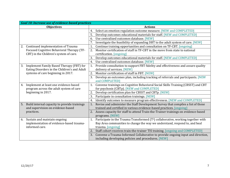| <b>Goal 10: Increase use of evidence-based practices</b> |                                                                                                    |  |  |  |
|----------------------------------------------------------|----------------------------------------------------------------------------------------------------|--|--|--|
| <b>Objectives</b>                                        | <b>Actions</b>                                                                                     |  |  |  |
|                                                          | Select an emotion regulation outcome measure. [NEW and COMPLETED]<br>4.                            |  |  |  |
|                                                          | Develop outcomes educational materials for staff. [NEW and COMPLETED]<br>5.                        |  |  |  |
|                                                          | Use centralized outcomes database. [NEW]<br>6.                                                     |  |  |  |
|                                                          | Investigate the feasibility of expanding DBT to the adult system of care. [NEW]<br>7.              |  |  |  |
| Continued implementation of Trauma<br>2.                 | Continue training opportunities and consultation on TF-CBT. [ongoing]<br>1.                        |  |  |  |
| Focused Cognitive Behavioral Therapy (TF-                | Monitor certification of staff in TF-CBT in the move from state to national<br>2.                  |  |  |  |
| CBT) in the Children's system of care.                   | certification. [ongoing]                                                                           |  |  |  |
|                                                          | Develop outcomes educational materials for staff. [NEW and COMPLETED]<br>3.                        |  |  |  |
|                                                          | Use centralized outcomes database. [NEW]<br>4.                                                     |  |  |  |
| Implement Family Based Therapy (FBT) for<br>3.           | Provide consultation to support FBT fidelity and effectiveness and assure quality<br>1.            |  |  |  |
| Eating Disorders in the Children's and Adult             | delivery of services. [NEW]                                                                        |  |  |  |
| systems of care beginning in 2017.                       | Monitor certification of staff in FBT. [NEW]<br>2.                                                 |  |  |  |
|                                                          | Develop an outcomes plan, including tracking of referrals and participants. [NEW<br>3.             |  |  |  |
|                                                          | and COMPLETED1                                                                                     |  |  |  |
| Implement at least one evidence-based<br>4.              | Convene trainings on Cognitive Behavioral Social Skills Training (CBSST) and CBT<br>1.             |  |  |  |
| program across the adult system of care                  | for psychosis (CBTp). [NEW and COMPLETED]                                                          |  |  |  |
| beginning in 2017.                                       | Develop certification plan for CBSST and CBTp. [NEW]<br>2.                                         |  |  |  |
|                                                          | 3.<br>Participate in consultation trainings. [NEW]                                                 |  |  |  |
|                                                          | Identify outcomes to measure program effectiveness. [NEW and COMPLETED]<br>4.                      |  |  |  |
| Build internal capacity to provide trainings<br>5.       | Revise and administer the Staff Development Survey that compiles a list of those<br>1.             |  |  |  |
| and supervision on evidence-based                        | trained and certified in various evidence-based practices. [ongoing]                               |  |  |  |
| practices.                                               | 2. Assess capacity for staff to attend Train-the-Trainer trainings on evidence-based               |  |  |  |
|                                                          | programs. [NEW]                                                                                    |  |  |  |
| Sustain and maintain ongoing<br>6.                       | Participate in the Trauma Transformed (T <sup>2</sup> ) collaborative, working together with<br>1. |  |  |  |
| implementation of evidence-based trauma-                 | Bay Area communities to change the way we understand, respond to, and heal                         |  |  |  |
| informed care.                                           | trauma. [ongoing]                                                                                  |  |  |  |
|                                                          | 2.<br>Staff cohort receives train-the-trainer TIS training. [ongoing and COMPLETED]                |  |  |  |
|                                                          | Convene a Trauma-Informed Collaborative to provide ongoing input and direction,<br>3.              |  |  |  |
|                                                          | including developing policies and procedures. [NEW]                                                |  |  |  |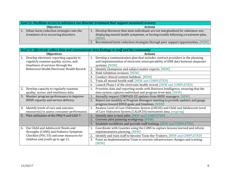| Goal 11: Facilitate access to substance use disorder treatment that support sustained recovery |  |                                                                                                                                                                                |  |
|------------------------------------------------------------------------------------------------|--|--------------------------------------------------------------------------------------------------------------------------------------------------------------------------------|--|
| <b>Objectives</b>                                                                              |  | <b>Actions</b>                                                                                                                                                                 |  |
| Infuse harm reduction strategies into the<br>treatment of co-occurring disorders.              |  | Develop literature that state individuals are not marginalized for substance use,<br>displaying mental health symptoms, or having trouble following a treatment plan.<br>[NEW] |  |
|                                                                                                |  | Recommend harm reduction strategies through peer support opportunities. [NEW]                                                                                                  |  |

|    | Goal 12: Effectively collect data and communicate data findings to staff and the community |    |                                                                                                                                                                  |  |  |
|----|--------------------------------------------------------------------------------------------|----|------------------------------------------------------------------------------------------------------------------------------------------------------------------|--|--|
|    | <b>Objectives</b>                                                                          |    | <b>Actions</b>                                                                                                                                                   |  |  |
| 1. | Develop electronic reporting capacity to<br>regularly examine quality, access, and         | 1. | Develop a communication plan that includes contract providers in the planning<br>and implementation of electronic interoperability of EHR data between disparate |  |  |
|    | timeliness of services through the                                                         |    | systems. [NEW]                                                                                                                                                   |  |  |
|    | Behavioral Health Electronic Health Record.                                                | 2. | Identify Champions and subject matter experts. [NEW]                                                                                                             |  |  |
|    |                                                                                            | 3. | Hold validation sessions. [NEW]                                                                                                                                  |  |  |
|    |                                                                                            | 4. | Conduct clinical content buildout. [NEW]                                                                                                                         |  |  |
|    |                                                                                            | 5. | Train all mental health staff. [NEW and COMPLETED]                                                                                                               |  |  |
|    |                                                                                            | 6. | Launch Phase I of the electronic health record. [NEW and COMPLETED]                                                                                              |  |  |
| 2. | Develop capacity to regularly examine                                                      | 1. | Prioritize data and reporting needs with Business Intelligence, ensuring that the                                                                                |  |  |
|    | quality, access, and timeliness data.                                                      |    | data system captures individual and program level data. [NEW]                                                                                                    |  |  |
| 3. | Monitor program performance to improve                                                     | 1. | Annually request COMPASS-EZ updates from BHSD managers. [NEW]                                                                                                    |  |  |
|    | BHSD capacity and service delivery.                                                        | 2. | Report out monthly at Program Managers meeting to provide updates and gauge<br>progress toward BHSD goals and timelines. [NEW]                                   |  |  |
| 4. | Identify levels of care and outcome                                                        | 1. | Analyze Level of Care Utilization System (LOCUS) and Child and Adolescent Level                                                                                  |  |  |
|    | measure(s) to assess consumer performance.                                                 |    | of Care Utilization System (CALOCUS) instrument data. [ongoing]                                                                                                  |  |  |
| 5. | Pilot utilization of the PHQ-9 and GAD-7.                                                  | 1. | Identify sites to host pilot. [NEW and COMPLETED]                                                                                                                |  |  |
|    |                                                                                            | 2. | Convene pilot planning workgroup. [NEW]                                                                                                                          |  |  |
|    |                                                                                            | 3. | Establish workflows and provide staff training. [NEW and COMPLETED]                                                                                              |  |  |
| 6. | Use Child and Adolescent Needs and                                                         |    | Coordinate with Counties using the CANS to capture lessons learned and inform                                                                                    |  |  |
|    | Strengths (CANS) and Pediatric Symptom                                                     |    | implementation planning. [NEW]                                                                                                                                   |  |  |
|    | Checklist (PSC-35) outcome measures for                                                    | 2. | Identify and train staff to become Train-the-Trainers. [NEW and COMPLETED]                                                                                       |  |  |
|    | children and youth up to age 21.                                                           | 3. | Form an Implementation Team to oversee infrastructure changes and training.                                                                                      |  |  |
|    |                                                                                            |    | [NEW]                                                                                                                                                            |  |  |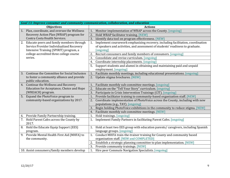|    | Goal 13: Improve consumer and community communication, collaboration, and education |    |                                                                                   |  |  |
|----|-------------------------------------------------------------------------------------|----|-----------------------------------------------------------------------------------|--|--|
|    | <b>Objectives</b>                                                                   |    | <b>Actions</b>                                                                    |  |  |
| 1. | Plan, coordinate, and oversee the Wellness                                          | 1. | Monitor implementation of WRAP across the County. [ongoing]                       |  |  |
|    | Recovery Action Plan (WRAP) program for                                             | 2. | Hold WRAP facilitator training. [NEW]                                             |  |  |
|    | Contra Costa Health Services.                                                       | 3. | Identify data tool on program effectiveness. [NEW]                                |  |  |
| 2. | Educate peers and family members through                                            | 1. | Implement coursework emphasizing recovery, including facilitation, coordination   |  |  |
|    | Service Provider Individualized Recovery                                            |    | of speakers and activities, and assessment of students' readiness to graduate.    |  |  |
|    | Intensive Training (SPIRIT) program, a                                              |    | [ongoing]                                                                         |  |  |
|    | college-accredited three college course                                             | 2. | Recruit consumers and family members of consumers. [ongoing]                      |  |  |
|    | series.                                                                             | 3. | Consolidate and revise curriculum. [ongoing]                                      |  |  |
|    |                                                                                     | 4. | Coordinate internship placements. [ongoing]                                       |  |  |
|    |                                                                                     | 5. | Support students and alumni in obtaining and maintaining paid and unpaid          |  |  |
|    |                                                                                     |    | employment. [ongoing]                                                             |  |  |
| 3. | Continue the Committee for Social Inclusion                                         | 1. | Facilitate monthly meetings, including educational presentations. [ongoing]       |  |  |
|    | to foster a community alliance and provide                                          | 2. | Update stigma brochures. [NEW]                                                    |  |  |
|    | public education.                                                                   |    |                                                                                   |  |  |
| 4. | Continue the Wellness and Recovery                                                  | 1. | Facilitate monthly sub-committee meetings. [ongoing]                              |  |  |
|    | Education for Acceptance, Choice and Hope                                           | 2. | Educate on the "Tell Your Story" curriculum. [ongoing]                            |  |  |
|    | (WREACH) program.                                                                   | 3. | Participate in Crisis Intervention Trainings (CIT). [ongoing]                     |  |  |
|    | 5. Expand the PhotoVoice program to                                                 | 1. | Provide facilitator training to community-based organization staff. [NEW]         |  |  |
|    | community-based organizations by 2017.                                              | 2. | Coordinate implementation of PhotoVoice across the County, including with new     |  |  |
|    |                                                                                     |    | populations (e.g., TAY). [ongoing]                                                |  |  |
|    |                                                                                     | 3. | Begin holding PhotoVoice exhibitions in the community to reduce stigma. [NEW]     |  |  |
|    |                                                                                     | 4. | Facilitate monthly sub-committee meetings. [NEW]                                  |  |  |
|    | 6. Provide Family Partnership training.                                             | 1. | Hold trainings. [ongoing]                                                         |  |  |
| 7. | Hold Parent Cafes across the County by                                              | 1. | Implement Family Partners in facilitating Parent Cafes. [ongoing]                 |  |  |
|    | 2017.                                                                               |    |                                                                                   |  |  |
| 8. | Hold the Educate Equip Support (EES)                                                | 1. | Hold at least two EES group with education parents/ caregivers, including Spanish |  |  |
|    | program.                                                                            |    | language groups. [ongoing]                                                        |  |  |
|    | 9. Provide Mental Health First Aid (MHFA) to                                        | 1. | Conduct MHFA train-the-trainer training for County and community based            |  |  |
|    | the community.                                                                      |    | organization staff. [NEW and COMPLETED]                                           |  |  |
|    |                                                                                     | 2. | Establish a strategic planning committee to plan implementation. [NEW]            |  |  |
|    |                                                                                     | 3. | Provide community trainings. [NEW]                                                |  |  |
|    | 10. Assist consumers/family members develop                                         | 1. | Hire peer Commute Navigation Specialists. [ongoing]                               |  |  |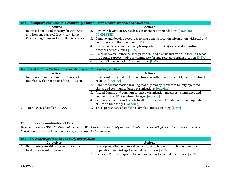| Goal 13: Improve consumer and community communication, collaboration, and education |                                                                                            |  |  |
|-------------------------------------------------------------------------------------|--------------------------------------------------------------------------------------------|--|--|
| <b>Objectives</b>                                                                   | <b>Actions</b>                                                                             |  |  |
| increased skills and capacity for getting to                                        | Review relevant MHSA needs assessment recommendations. [NEW and                            |  |  |
| and from mental health services via the                                             | <b>COMPLETED]</b>                                                                          |  |  |
| Overcoming Transportation Barriers project.                                         | Compile and develop resources to share transportation information with staff and<br>3.     |  |  |
|                                                                                     | consumers and their families. [NEW]                                                        |  |  |
|                                                                                     | Review and revise as necessary transportation policy(ies) and standardize<br>4.            |  |  |
|                                                                                     | practices across clinics. [NEW]                                                            |  |  |
|                                                                                     | Liaise between County, service providers, and transit authorities, as well as act as<br>5. |  |  |
|                                                                                     | the County representative in community forums related to transportation. [NEW]             |  |  |
|                                                                                     | Create a Transportation Subcommittee. [NEW]<br>6.                                          |  |  |

| <b>Goal 14: Maintain effective and consistent utilization review practices</b>     |                                                                                                                                     |  |  |
|------------------------------------------------------------------------------------|-------------------------------------------------------------------------------------------------------------------------------------|--|--|
| <b>Objectives</b>                                                                  | <b>Actions</b>                                                                                                                      |  |  |
| Improve communication with those who<br>interface with or are part of the UR Team. | Hold regularly scheduled UR meetings on authorization, Level 1, and centralized<br>reviews. [ongoing]                               |  |  |
|                                                                                    | 2. Conduct documentation training monthly and by request at County operated<br>clinics and community-based organizations. [ongoing] |  |  |
|                                                                                    | Attend County and community-based organization meetings to announce and<br>3.<br>communicate UR regulatory changes. [ongoing]       |  |  |
|                                                                                    | Send mass mailers and emails to all providers, and County owned and operated<br>4.<br>clinics on UR changes. [ongoing]              |  |  |
| Train 100% of staff on HIPAA.                                                      | Track percentage of staff who complete HIPAA training. [NEW]                                                                        |  |  |

### **Continuity and Coordination of Care**

Behavioral Health DHCS Contractual Elements: Work to ensure continuity and coordination of care with physical health care providers. *Coordinate with other human services agencies used by beneficiaries.*

|                   | <b>Goal 15: Promote prevention and early intervention</b> |  |                                                                               |  |
|-------------------|-----------------------------------------------------------|--|-------------------------------------------------------------------------------|--|
| <b>Objectives</b> |                                                           |  | <b>Actions</b>                                                                |  |
|                   | Better integrate PEI programs with mental                 |  | Develop and disseminate PEI reports that highlight outreach to underserved    |  |
|                   | health treatment programs.                                |  | populations and linkage to mental health care. [NEW]                          |  |
|                   |                                                           |  | Facilitate PEI staff capacity to increase access to mental health care. [NEW] |  |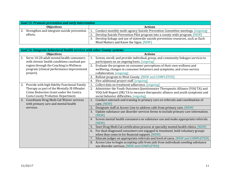|    | <b>Goal 15: Promote prevention and early intervention</b> |                                                                                       |  |  |
|----|-----------------------------------------------------------|---------------------------------------------------------------------------------------|--|--|
|    | <b>Objectives</b>                                         | <b>Actions</b>                                                                        |  |  |
| 2. | Strengthen and integrate suicide prevention               | Conduct monthly multi-agency Suicide Prevention Committee meetings. [ongoing]<br>Ι.   |  |  |
|    | efforts.                                                  | Develop Suicide Prevention Pilot program into a county-wide program. [NEW]            |  |  |
|    |                                                           | Develop linkage and use of statewide suicide prevention resources, such as Each<br>3. |  |  |
|    |                                                           | Mind Matters and Know the Signs. [NEW]                                                |  |  |

|    | <b>Goal 16: Integrate behavioral health services with other County systems</b> |    |                                                                                     |  |
|----|--------------------------------------------------------------------------------|----|-------------------------------------------------------------------------------------|--|
|    | <b>Objectives</b>                                                              |    | <b>Actions</b>                                                                      |  |
| 1. | Serve 10-20 adult mental health consumers                                      | 1. | Screen, enroll, and provide individual, group, and community linkages services to   |  |
|    | with chronic health conditions caseload per                                    |    | participants on an ongoing basis. [ongoing]                                         |  |
|    | region through the Coaching to Wellness                                        | 2. | Evaluate the program on consumer perceptions of their own wellness and              |  |
|    | program (clinical performance improvement                                      |    | wellbeing, changes in consumer behaviors and symptoms, and cross-service            |  |
|    | project).                                                                      |    | collaboration. [ongoing]                                                            |  |
|    |                                                                                | 3. | Rollout program to West County. [NEW and COMPLETED]                                 |  |
|    |                                                                                | 4. | Hire additional project staff. [ongoing]                                            |  |
| 2. | Provide with high fidelity Functional Family                                   | 1. | Collect data on treatment adherence. [ongoing]                                      |  |
|    | Therapy as part of the Mentally Ill Offender                                   | 2. | Administer the Youth Outcomes Questionnaire Therapeutic Alliance (YOQ TA) and       |  |
|    | Crime Reduction Grant under the Contra                                         |    | YOQ-Self-Report (SR) TA to measure therapeutic alliance and youth symptoms and      |  |
|    | <b>Costa County Probation Department.</b>                                      |    | social behavior difficulties. [ongoing]                                             |  |
| 3. | Coordinate Drug Medi-Cal Waiver services                                       | 1. | Conduct outreach and training to primary care on referrals and coordination of      |  |
|    | with primary care and mental health                                            |    | care. [NEW]                                                                         |  |
|    | services.                                                                      | 2. | Designate staff at Access Line to address calls from primary care. [NEW]            |  |
|    |                                                                                | 3. | Update substance use disorder services forms to include primary care information.   |  |
|    |                                                                                |    | [NEW]                                                                               |  |
|    |                                                                                |    | 4. Screen mental health consumers on substance use and make appropriate referrals.  |  |
|    |                                                                                |    | [NEW]                                                                               |  |
|    |                                                                                | 5. | Start Drug Medi-Cal certification process at specialty mental health clinics. [NEW] |  |
|    |                                                                                | 6. | For dual-diagnosed consumers not engaged in treatment, hold voluntary groups        |  |
|    |                                                                                |    | when they come in for financial support. [NEW]                                      |  |
|    |                                                                                | 7. | Educate judges on appropriate referrals and level of cares. [NEW and COMPLETED]     |  |
|    |                                                                                | 8. | Access Line to begin accepting calls from jails from individuals needing substance  |  |
|    |                                                                                |    | use disorder services. [NEW and COMPLETED]                                          |  |